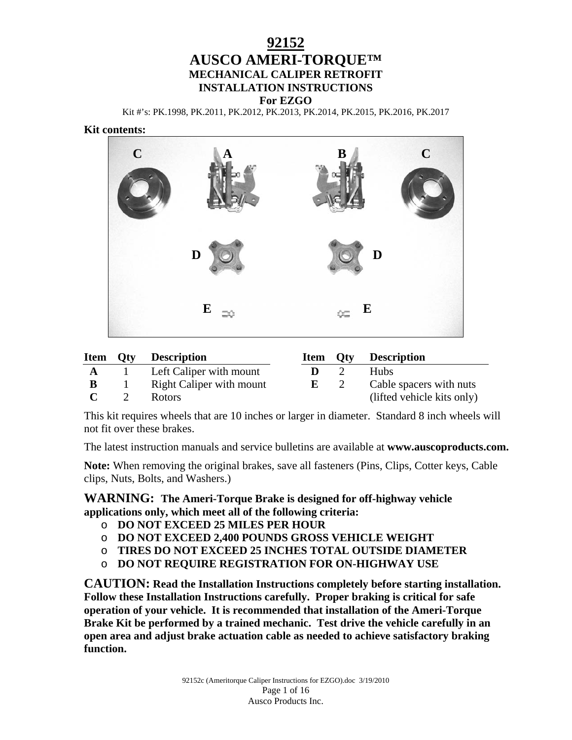# **92152 AUSCO AMERI-TORQUE™ MECHANICAL CALIPER RETROFIT INSTALLATION INSTRUCTIONS For EZGO**

Kit #'s: PK.1998, PK.2011, PK.2012, PK.2013, PK.2014, PK.2015, PK.2016, PK.2017

#### **Kit contents:**



|   | <b>Item Qty Description</b> |                  | <b>Item Qty Description</b> |
|---|-----------------------------|------------------|-----------------------------|
|   | Left Caliper with mount     | $\mathbf{D} = 2$ | <b>Hubs</b>                 |
| B | Right Caliper with mount    | $E = 2$          | Cable spacers with nuts     |
|   | Rotors                      |                  | (lifted vehicle kits only)  |

This kit requires wheels that are 10 inches or larger in diameter. Standard 8 inch wheels will not fit over these brakes.

The latest instruction manuals and service bulletins are available at **www.auscoproducts.com.**

**Note:** When removing the original brakes, save all fasteners (Pins, Clips, Cotter keys, Cable clips, Nuts, Bolts, and Washers.)

**WARNING: The Ameri-Torque Brake is designed for off-highway vehicle applications only, which meet all of the following criteria:** 

- o **DO NOT EXCEED 25 MILES PER HOUR**
- o **DO NOT EXCEED 2,400 POUNDS GROSS VEHICLE WEIGHT**
- o **TIRES DO NOT EXCEED 25 INCHES TOTAL OUTSIDE DIAMETER**
- o **DO NOT REQUIRE REGISTRATION FOR ON-HIGHWAY USE**

**CAUTION: Read the Installation Instructions completely before starting installation. Follow these Installation Instructions carefully. Proper braking is critical for safe operation of your vehicle. It is recommended that installation of the Ameri-Torque Brake Kit be performed by a trained mechanic. Test drive the vehicle carefully in an open area and adjust brake actuation cable as needed to achieve satisfactory braking function.**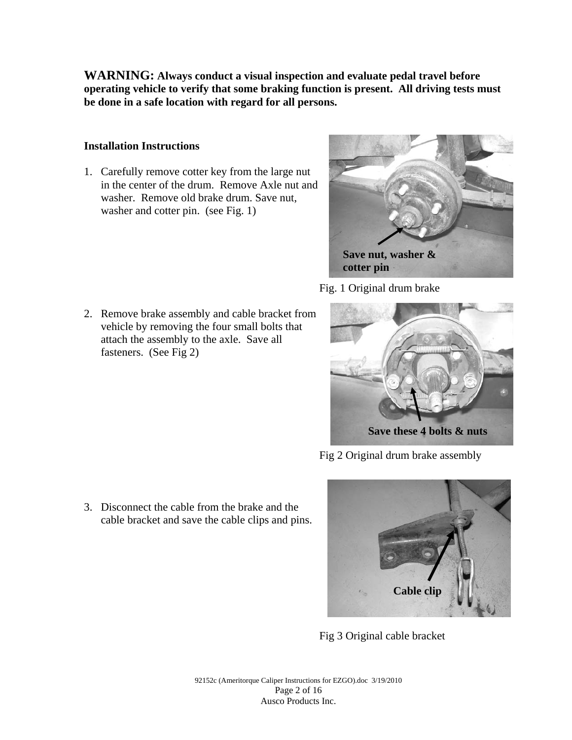**WARNING: Always conduct a visual inspection and evaluate pedal travel before operating vehicle to verify that some braking function is present. All driving tests must be done in a safe location with regard for all persons.** 

### **Installation Instructions**

fasteners. (See Fig 2)

1. Carefully remove cotter key from the large nut in the center of the drum. Remove Axle nut and washer. Remove old brake drum. Save nut, washer and cotter pin. (see Fig. 1)

2. Remove brake assembly and cable bracket from vehicle by removing the four small bolts that attach the assembly to the axle. Save all



Fig. 1 Original drum brake



Fig 2 Original drum brake assembly

3. Disconnect the cable from the brake and the cable bracket and save the cable clips and pins.



Fig 3 Original cable bracket

92152c (Ameritorque Caliper Instructions for EZGO).doc 3/19/2010 Page 2 of 16 Ausco Products Inc.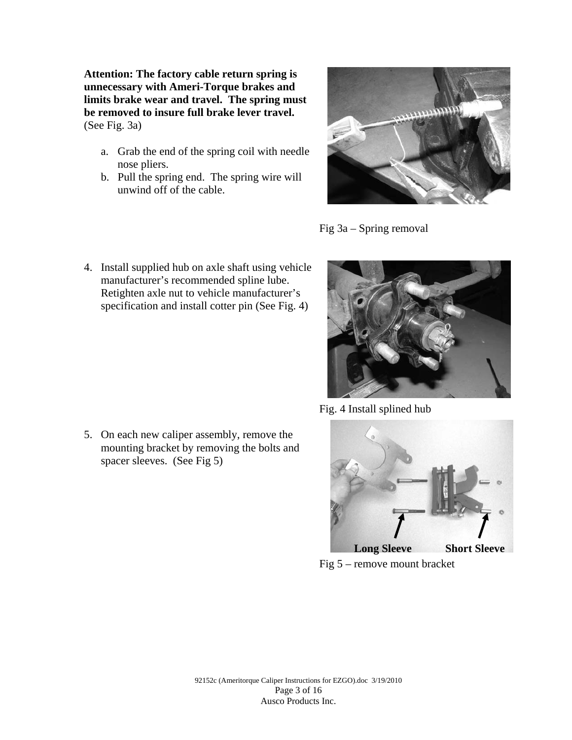**Attention: The factory cable return spring is unnecessary with Ameri-Torque brakes and limits brake wear and travel. The spring must be removed to insure full brake lever travel.**  (See Fig. 3a)

- a. Grab the end of the spring coil with needle nose pliers.
- b. Pull the spring end. The spring wire will unwind off of the cable.



Fig 3a – Spring removal

4. Install supplied hub on axle shaft using vehicle manufacturer's recommended spline lube. Retighten axle nut to vehicle manufacturer's specification and install cotter pin (See Fig. 4)

5. On each new caliper assembly, remove the mounting bracket by removing the bolts and spacer sleeves. (See Fig 5)



Fig. 4 Install splined hub



Fig 5 – remove mount bracket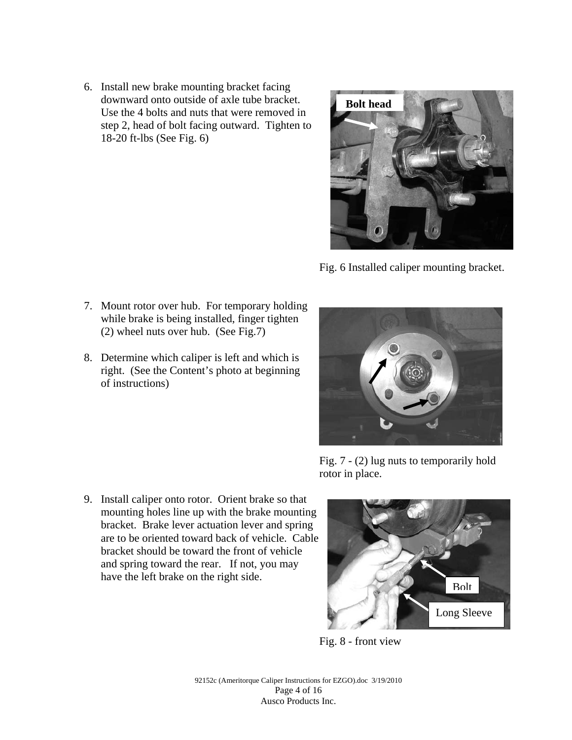6. Install new brake mounting bracket facing downward onto outside of axle tube bracket. Use the 4 bolts and nuts that were removed in step 2, head of bolt facing outward. Tighten to 18-20 ft-lbs (See Fig. 6)



Fig. 6 Installed caliper mounting bracket.

- 7. Mount rotor over hub. For temporary holding while brake is being installed, finger tighten (2) wheel nuts over hub. (See Fig.7)
- 8. Determine which caliper is left and which is right. (See the Content's photo at beginning of instructions)



Fig. 7 - (2) lug nuts to temporarily hold rotor in place.



Fig. 8 - front view

92152c (Ameritorque Caliper Instructions for EZGO).doc 3/19/2010 Page 4 of 16 Ausco Products Inc.

9. Install caliper onto rotor. Orient brake so that mounting holes line up with the brake mounting bracket. Brake lever actuation lever and spring are to be oriented toward back of vehicle. Cable bracket should be toward the front of vehicle and spring toward the rear. If not, you may have the left brake on the right side.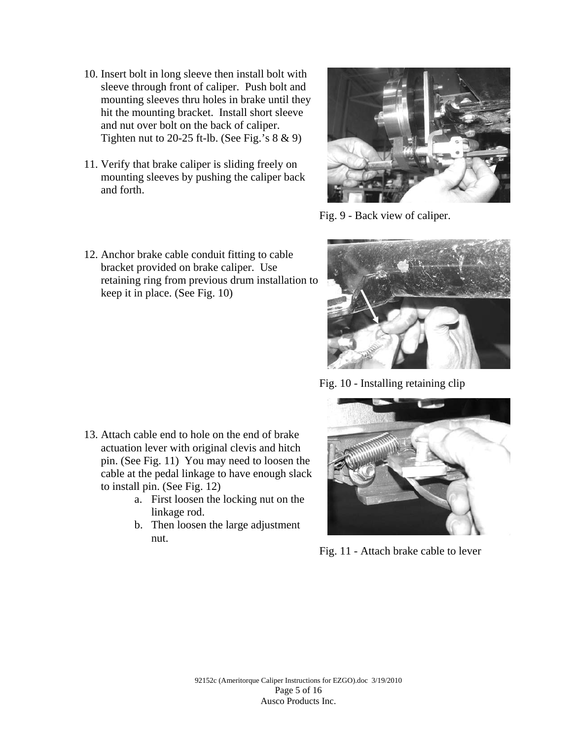- 10. Insert bolt in long sleeve then install bolt with sleeve through front of caliper. Push bolt and mounting sleeves thru holes in brake until they hit the mounting bracket. Install short sleeve and nut over bolt on the back of caliper. Tighten nut to 20-25 ft-lb. (See Fig.'s  $8 \& 9$ )
- 11. Verify that brake caliper is sliding freely on mounting sleeves by pushing the caliper back and forth.



Fig. 9 - Back view of caliper.



Fig. 10 - Installing retaining clip



Fig. 11 - Attach brake cable to lever

12. Anchor brake cable conduit fitting to cable bracket provided on brake caliper. Use retaining ring from previous drum installation to keep it in place. (See Fig. 10)

- 13. Attach cable end to hole on the end of brake actuation lever with original clevis and hitch pin. (See Fig. 11) You may need to loosen the cable at the pedal linkage to have enough slack to install pin. (See Fig. 12)
	- a. First loosen the locking nut on the linkage rod.
	- b. Then loosen the large adjustment nut.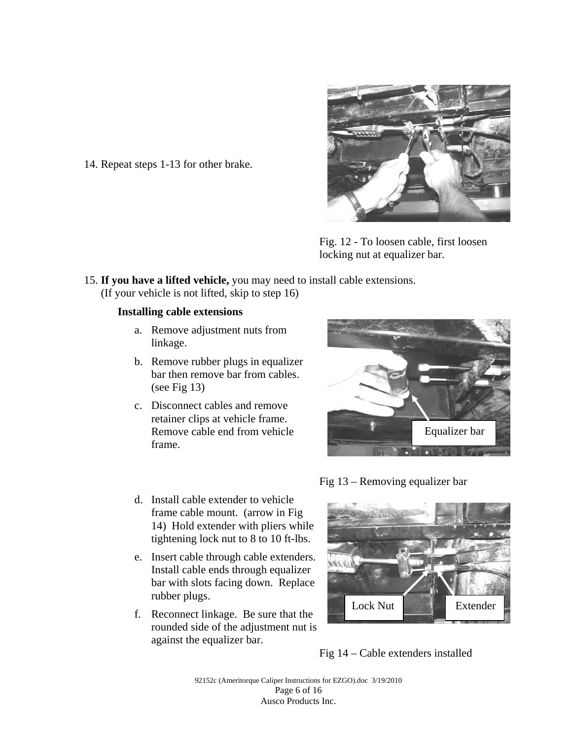

Fig. 12 - To loosen cable, first loosen locking nut at equalizer bar.

15. **If you have a lifted vehicle,** you may need to install cable extensions. (If your vehicle is not lifted, skip to step 16)

#### **Installing cable extensions**

14. Repeat steps 1-13 for other brake.

- a. Remove adjustment nuts from linkage.
- b. Remove rubber plugs in equalizer bar then remove bar from cables. (see Fig 13)
- c. Disconnect cables and remove retainer clips at vehicle frame. Remove cable end from vehicle frame.

d. Install cable extender to vehicle frame cable mount. (arrow in Fig

rubber plugs.

against the equalizer bar.

tightening lock nut to 8 to 10 ft-lbs.

Install cable ends through equalizer



Fig 13 – Removing equalizer bar



Fig 14 – Cable extenders installed

92152c (Ameritorque Caliper Instructions for EZGO).doc 3/19/2010 Page 6 of 16 Ausco Products Inc.

$$
Fig 13 - Removing equalizer be
$$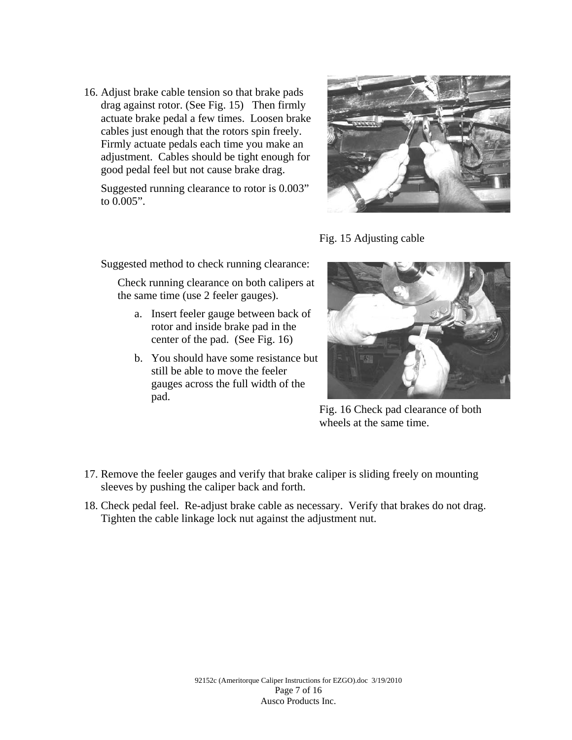16. Adjust brake cable tension so that brake pads drag against rotor. (See Fig. 15) Then firmly actuate brake pedal a few times. Loosen brake cables just enough that the rotors spin freely. Firmly actuate pedals each time you make an adjustment. Cables should be tight enough for good pedal feel but not cause brake drag.

Suggested running clearance to rotor is 0.003" to 0.005".



Fig. 15 Adjusting cable

Suggested method to check running clearance:

Check running clearance on both calipers at the same time (use 2 feeler gauges).

- a. Insert feeler gauge between back of rotor and inside brake pad in the center of the pad. (See Fig. 16)
- b. You should have some resistance but still be able to move the feeler gauges across the full width of the pad.



Fig. 16 Check pad clearance of both wheels at the same time.

- 17. Remove the feeler gauges and verify that brake caliper is sliding freely on mounting sleeves by pushing the caliper back and forth.
- 18. Check pedal feel. Re-adjust brake cable as necessary. Verify that brakes do not drag. Tighten the cable linkage lock nut against the adjustment nut.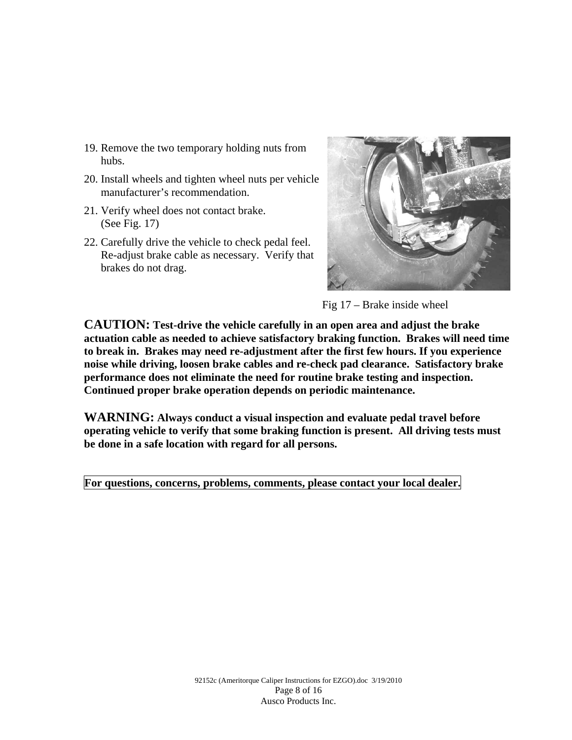- 19. Remove the two temporary holding nuts from hubs.
- 20. Install wheels and tighten wheel nuts per vehicle manufacturer's recommendation.
- 21. Verify wheel does not contact brake. (See Fig. 17)
- 22. Carefully drive the vehicle to check pedal feel. Re-adjust brake cable as necessary. Verify that brakes do not drag.



Fig 17 – Brake inside wheel

**CAUTION: Test-drive the vehicle carefully in an open area and adjust the brake actuation cable as needed to achieve satisfactory braking function. Brakes will need time to break in. Brakes may need re-adjustment after the first few hours. If you experience noise while driving, loosen brake cables and re-check pad clearance. Satisfactory brake performance does not eliminate the need for routine brake testing and inspection. Continued proper brake operation depends on periodic maintenance.** 

**WARNING: Always conduct a visual inspection and evaluate pedal travel before operating vehicle to verify that some braking function is present. All driving tests must be done in a safe location with regard for all persons.** 

**For questions, concerns, problems, comments, please contact your local dealer.**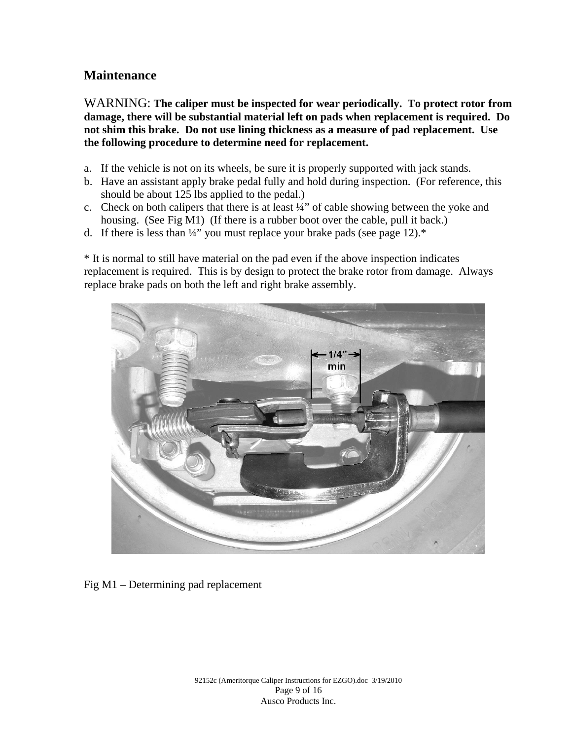## **Maintenance**

WARNING: **The caliper must be inspected for wear periodically. To protect rotor from damage, there will be substantial material left on pads when replacement is required. Do not shim this brake. Do not use lining thickness as a measure of pad replacement. Use the following procedure to determine need for replacement.** 

- a. If the vehicle is not on its wheels, be sure it is properly supported with jack stands.
- b. Have an assistant apply brake pedal fully and hold during inspection. (For reference, this should be about 125 lbs applied to the pedal.)
- c. Check on both calipers that there is at least ¼" of cable showing between the yoke and housing. (See Fig M1) (If there is a rubber boot over the cable, pull it back.)
- d. If there is less than  $\frac{1}{4}$ " you must replace your brake pads (see page 12).\*

\* It is normal to still have material on the pad even if the above inspection indicates replacement is required. This is by design to protect the brake rotor from damage. Always replace brake pads on both the left and right brake assembly.



Fig M1 – Determining pad replacement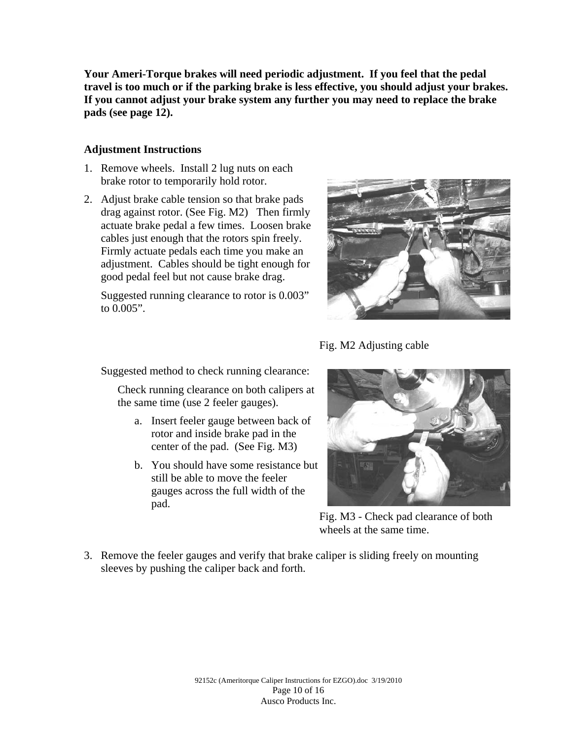**Your Ameri-Torque brakes will need periodic adjustment. If you feel that the pedal travel is too much or if the parking brake is less effective, you should adjust your brakes. If you cannot adjust your brake system any further you may need to replace the brake pads (see page 12).** 

#### **Adjustment Instructions**

- 1. Remove wheels. Install 2 lug nuts on each brake rotor to temporarily hold rotor.
- 2. Adjust brake cable tension so that brake pads drag against rotor. (See Fig. M2) Then firmly actuate brake pedal a few times. Loosen brake cables just enough that the rotors spin freely. Firmly actuate pedals each time you make an adjustment. Cables should be tight enough for good pedal feel but not cause brake drag.

Suggested running clearance to rotor is 0.003" to 0.005".



Fig. M2 Adjusting cable

Suggested method to check running clearance:

Check running clearance on both calipers at the same time (use 2 feeler gauges).

- a. Insert feeler gauge between back of rotor and inside brake pad in the center of the pad. (See Fig. M3)
- b. You should have some resistance but still be able to move the feeler gauges across the full width of the pad.



Fig. M3 - Check pad clearance of both wheels at the same time.

3. Remove the feeler gauges and verify that brake caliper is sliding freely on mounting sleeves by pushing the caliper back and forth.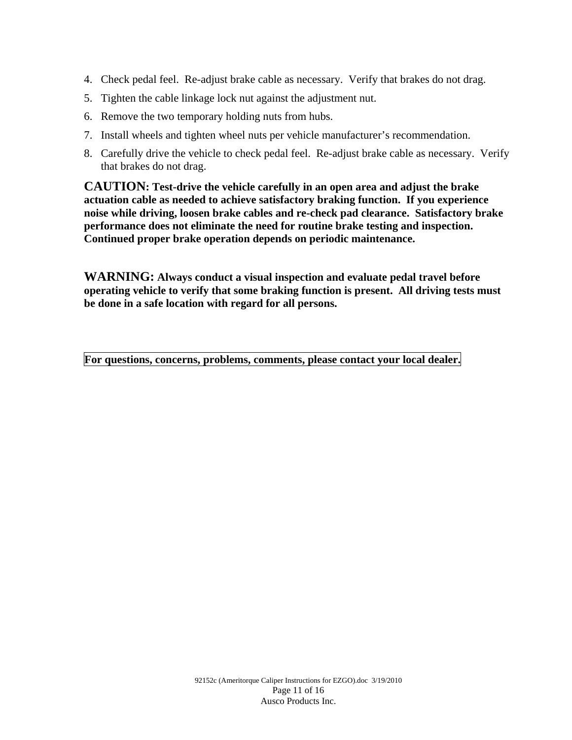- 4. Check pedal feel. Re-adjust brake cable as necessary. Verify that brakes do not drag.
- 5. Tighten the cable linkage lock nut against the adjustment nut.
- 6. Remove the two temporary holding nuts from hubs.
- 7. Install wheels and tighten wheel nuts per vehicle manufacturer's recommendation.
- 8. Carefully drive the vehicle to check pedal feel. Re-adjust brake cable as necessary. Verify that brakes do not drag.

**CAUTION: Test-drive the vehicle carefully in an open area and adjust the brake actuation cable as needed to achieve satisfactory braking function. If you experience noise while driving, loosen brake cables and re-check pad clearance. Satisfactory brake performance does not eliminate the need for routine brake testing and inspection. Continued proper brake operation depends on periodic maintenance.** 

**WARNING: Always conduct a visual inspection and evaluate pedal travel before operating vehicle to verify that some braking function is present. All driving tests must be done in a safe location with regard for all persons.** 

**For questions, concerns, problems, comments, please contact your local dealer.**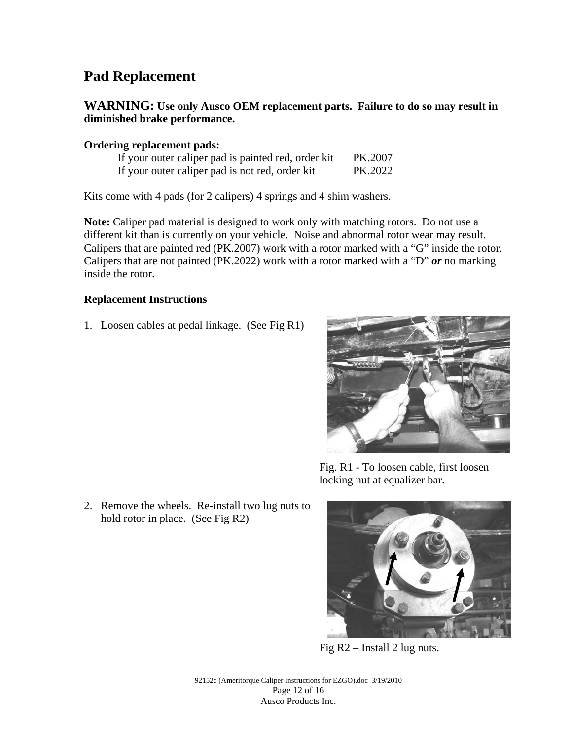# **Pad Replacement**

## **WARNING: Use only Ausco OEM replacement parts. Failure to do so may result in diminished brake performance.**

#### **Ordering replacement pads:**

| If your outer caliper pad is painted red, order kit | PK.2007 |
|-----------------------------------------------------|---------|
| If your outer caliper pad is not red, order kit     | PK.2022 |

Kits come with 4 pads (for 2 calipers) 4 springs and 4 shim washers.

**Note:** Caliper pad material is designed to work only with matching rotors. Do not use a different kit than is currently on your vehicle. Noise and abnormal rotor wear may result. Calipers that are painted red (PK.2007) work with a rotor marked with a "G" inside the rotor. Calipers that are not painted (PK.2022) work with a rotor marked with a "D" *or* no marking inside the rotor.

#### **Replacement Instructions**

1. Loosen cables at pedal linkage. (See Fig R1)



Fig. R1 - To loosen cable, first loosen locking nut at equalizer bar.

2. Remove the wheels. Re-install two lug nuts to hold rotor in place. (See Fig R2)



Fig R2 – Install 2 lug nuts.

92152c (Ameritorque Caliper Instructions for EZGO).doc 3/19/2010 Page 12 of 16 Ausco Products Inc.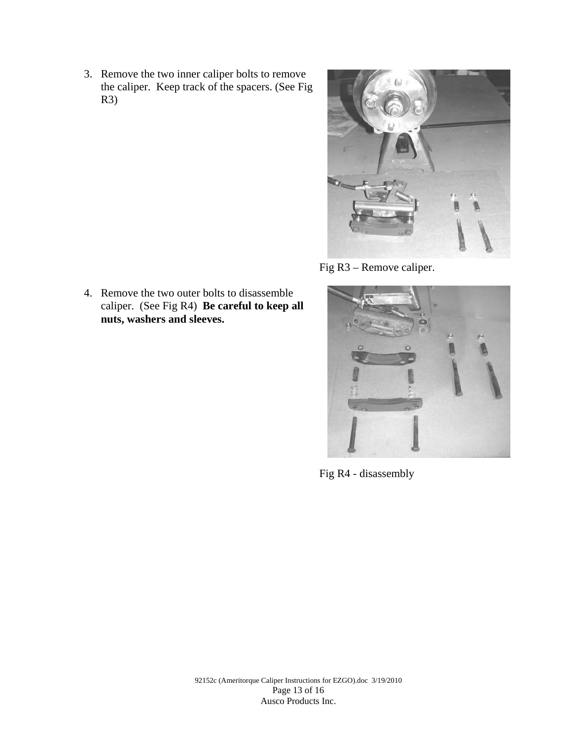3. Remove the two inner caliper bolts to remove the caliper. Keep track of the spacers. (See Fig R3)



Fig R3 – Remove caliper.



Fig R4 - disassembly

4. Remove the two outer bolts to disassemble caliper. (See Fig R4) **Be careful to keep all nuts, washers and sleeves.**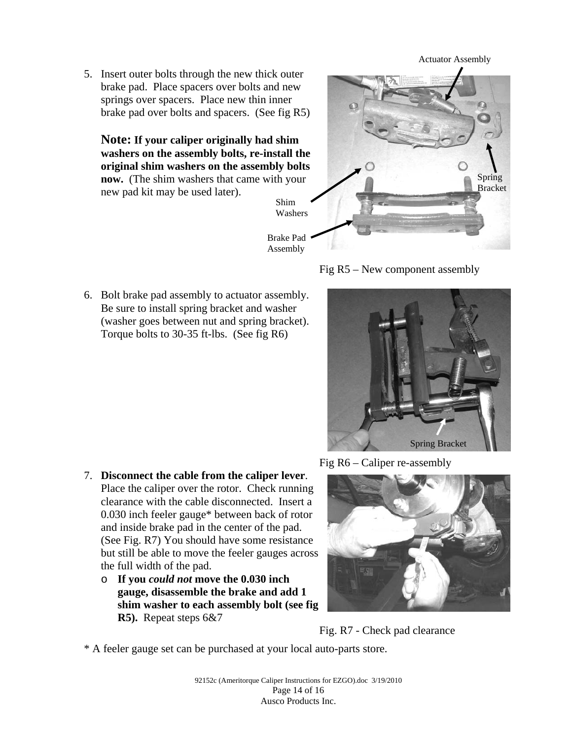Actuator Assembly

5. Insert outer bolts through the new thick outer brake pad. Place spacers over bolts and new springs over spacers. Place new thin inner brake pad over bolts and spacers. (See fig R5)

**Note: If your caliper originally had shim washers on the assembly bolts, re-install the original shim washers on the assembly bolts now.** (The shim washers that came with your new pad kit may be used later). Shim





6. Bolt brake pad assembly to actuator assembly. Be sure to install spring bracket and washer (washer goes between nut and spring bracket). Torque bolts to 30-35 ft-lbs. (See fig R6)



- 7. **Disconnect the cable from the caliper lever**. Place the caliper over the rotor. Check running clearance with the cable disconnected. Insert a 0.030 inch feeler gauge\* between back of rotor and inside brake pad in the center of the pad. (See Fig. R7) You should have some resistance but still be able to move the feeler gauges across the full width of the pad.
	- o **If you** *could not* **move the 0.030 inch gauge, disassemble the brake and add 1 shim washer to each assembly bolt (see fig R5).** Repeat steps 6&7

Fig R6 – Caliper re-assembly



Fig. R7 - Check pad clearance

\* A feeler gauge set can be purchased at your local auto-parts store.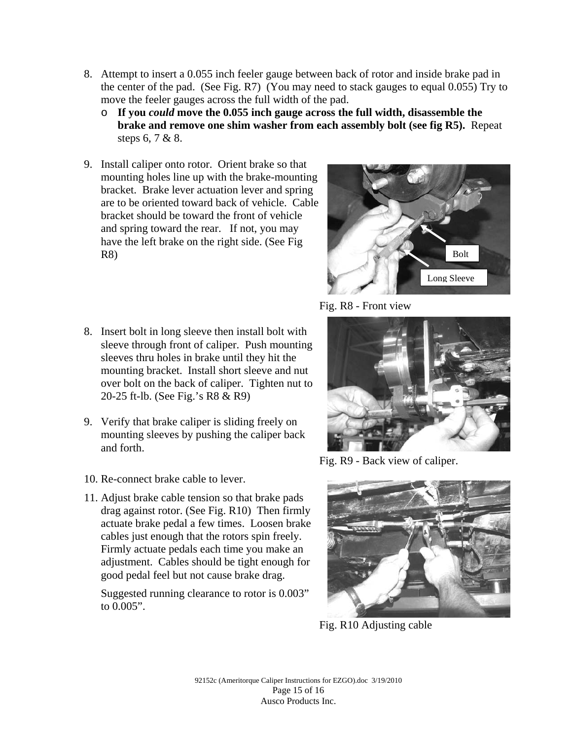- 8. Attempt to insert a 0.055 inch feeler gauge between back of rotor and inside brake pad in the center of the pad. (See Fig. R7) (You may need to stack gauges to equal 0.055) Try to move the feeler gauges across the full width of the pad.
	- o **If you** *could* **move the 0.055 inch gauge across the full width, disassemble the brake and remove one shim washer from each assembly bolt (see fig R5).** Repeat steps 6, 7 & 8.
- 9. Install caliper onto rotor. Orient brake so that mounting holes line up with the brake-mounting bracket. Brake lever actuation lever and spring are to be oriented toward back of vehicle. Cable bracket should be toward the front of vehicle and spring toward the rear. If not, you may have the left brake on the right side. (See Fig R8)
- 8. Insert bolt in long sleeve then install bolt with sleeve through front of caliper. Push mounting sleeves thru holes in brake until they hit the mounting bracket. Install short sleeve and nut over bolt on the back of caliper. Tighten nut to 20-25 ft-lb. (See Fig.'s R8 & R9)
- 9. Verify that brake caliper is sliding freely on mounting sleeves by pushing the caliper back and forth.
- 10. Re-connect brake cable to lever.
- 11. Adjust brake cable tension so that brake pads drag against rotor. (See Fig. R10) Then firmly actuate brake pedal a few times. Loosen brake cables just enough that the rotors spin freely. Firmly actuate pedals each time you make an adjustment. Cables should be tight enough for good pedal feel but not cause brake drag.

Suggested running clearance to rotor is 0.003" to 0.005".



Fig. R8 - Front view



Fig. R9 - Back view of caliper.



Fig. R10 Adjusting cable